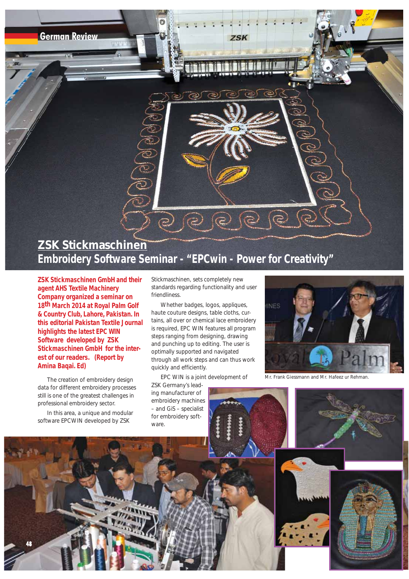**German Review**

## **ZSK Stickmaschinen Embroidery Software Seminar - "EPCwin - Power for Creativity"**

**ZSK Stickmaschinen GmbH and their agent AHS Textile Machinery Company organized a seminar on 18th March 2014 at Royal Palm Golf & Country Club, Lahore, Pakistan. In this editorial Pakistan Textile Journal highlights the latest EPC WIN Software developed by ZSK Stickmaschinen GmbH for the interest of our readers. (Report by Amina Baqai. Ed)**

The creation of embroidery design data for different embroidery processes still is one of the greatest challenges in professional embroidery sector.

In this area, a unique and modular software EPCWIN developed by ZSK

**48**

Stickmaschinen, sets completely new standards regarding functionality and user friendliness.

**7SK** 

Whether badges, logos, appliques, haute couture designs, table cloths, curtains, all over or chemical lace embroidery is required, EPC WIN features all program steps ranging from designing, drawing and punching up to editing. The user is optimally supported and navigated through all work steps and can thus work quickly and efficiently.

EPC WIN is a joint development of

ZSK Germany's leading manufacturer of embroidery machines – and GiS – specialist for embroidery software.



*Mr. Frank Giessmann and Mr. Hafeez ur Rehman.*